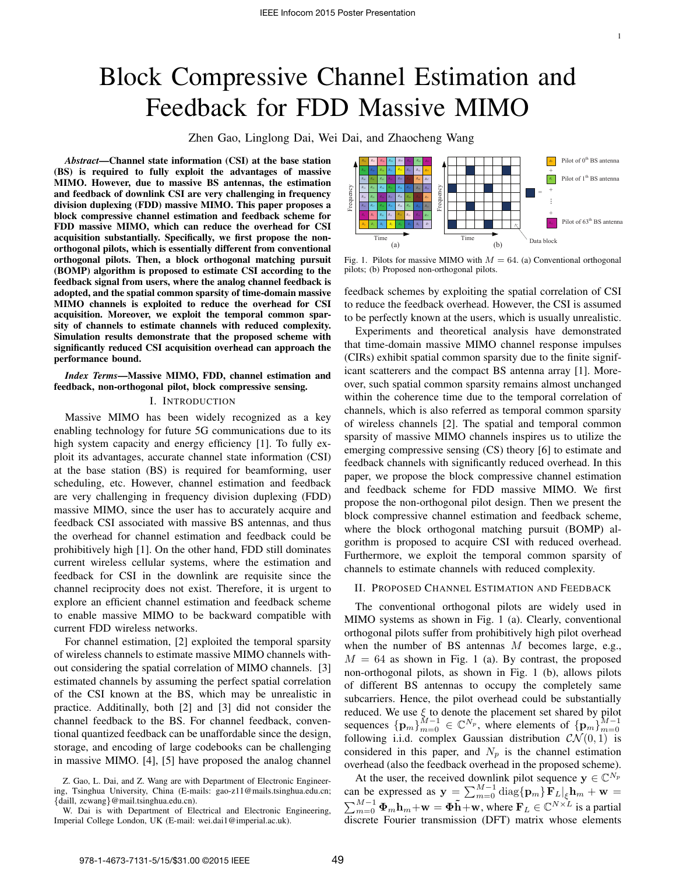# Block Compressive Channel Estimation and Feedback for FDD Massive MIMO

Zhen Gao, Linglong Dai, Wei Dai, and Zhaocheng Wang

*Abstract*—Channel state information (CSI) at the base station (BS) is required to fully exploit the advantages of massive MIMO. However, due to massive BS antennas, the estimation and feedback of downlink CSI are very challenging in frequency division duplexing (FDD) massive MIMO. This paper proposes a block compressive channel estimation and feedback scheme for FDD massive MIMO, which can reduce the overhead for CSI acquisition substantially. Specifically, we first propose the nonorthogonal pilots, which is essentially different from conventional orthogonal pilots. Then, a block orthogonal matching pursuit (BOMP) algorithm is proposed to estimate CSI according to the feedback signal from users, where the analog channel feedback is adopted, and the spatial common sparsity of time-domain massive MIMO channels is exploited to reduce the overhead for CSI acquisition. Moreover, we exploit the temporal common sparsity of channels to estimate channels with reduced complexity. Simulation results demonstrate that the proposed scheme with significantly reduced CSI acquisition overhead can approach the performance bound.

# *Index Terms*—Massive MIMO, FDD, channel estimation and feedback, non-orthogonal pilot, block compressive sensing.

# I. INTRODUCTION

Massive MIMO has been widely recognized as a key enabling technology for future 5G communications due to its high system capacity and energy efficiency [1]. To fully exploit its advantages, accurate channel state information (CSI) at the base station (BS) is required for beamforming, user scheduling, etc. However, channel estimation and feedback are very challenging in frequency division duplexing (FDD) massive MIMO, since the user has to accurately acquire and feedback CSI associated with massive BS antennas, and thus the overhead for channel estimation and feedback could be prohibitively high [1]. On the other hand, FDD still dominates current wireless cellular systems, where the estimation and feedback for CSI in the downlink are requisite since the channel reciprocity does not exist. Therefore, it is urgent to explore an efficient channel estimation and feedback scheme to enable massive MIMO to be backward compatible with current FDD wireless networks.

For channel estimation, [2] exploited the temporal sparsity of wireless channels to estimate massive MIMO channels without considering the spatial correlation of MIMO channels. [3] estimated channels by assuming the perfect spatial correlation of the CSI known at the BS, which may be unrealistic in practice. Additinally, both [2] and [3] did not consider the channel feedback to the BS. For channel feedback, conventional quantized feedback can be unaffordable since the design, storage, and encoding of large codebooks can be challenging in massive MIMO. [4], [5] have proposed the analog channel



Fig. 1. Pilots for massive MIMO with  $M = 64$ . (a) Conventional orthogonal pilots; (b) Proposed non-orthogonal pilots.

feedback schemes by exploiting the spatial correlation of CSI to reduce the feedback overhead. However, the CSI is assumed to be perfectly known at the users, which is usually unrealistic.

Experiments and theoretical analysis have demonstrated that time-domain massive MIMO channel response impulses (CIRs) exhibit spatial common sparsity due to the finite significant scatterers and the compact BS antenna array [1]. Moreover, such spatial common sparsity remains almost unchanged within the coherence time due to the temporal correlation of channels, which is also referred as temporal common sparsity of wireless channels [2]. The spatial and temporal common sparsity of massive MIMO channels inspires us to utilize the emerging compressive sensing (CS) theory [6] to estimate and feedback channels with significantly reduced overhead. In this paper, we propose the block compressive channel estimation and feedback scheme for FDD massive MIMO. We first propose the non-orthogonal pilot design. Then we present the block compressive channel estimation and feedback scheme, where the block orthogonal matching pursuit (BOMP) algorithm is proposed to acquire CSI with reduced overhead. Furthermore, we exploit the temporal common sparsity of channels to estimate channels with reduced complexity.

# II. PROPOSED CHANNEL ESTIMATION AND FEEDBACK

The conventional orthogonal pilots are widely used in MIMO systems as shown in Fig. 1 (a). Clearly, conventional orthogonal pilots suffer from prohibitively high pilot overhead when the number of BS antennas *M* becomes large, e.g.,  $M = 64$  as shown in Fig. 1 (a). By contrast, the proposed non-orthogonal pilots, as shown in Fig. 1 (b), allows pilots of different BS antennas to occupy the completely same subcarriers. Hence, the pilot overhead could be substantially reduced. We use *ξ* to denote the placement set shared by pilot sequences  ${\{\mathbf{p}_m\}}_{m=0}^{M-1} \in \mathbb{C}^{N_p}$ , where elements of  ${\{\mathbf{p}_m\}}_{m=0}^{M-1}$ following i.i.d. complex Gaussian distribution  $\mathcal{CN}(0,1)$  is considered in this paper, and  $N_p$  is the channel estimation overhead (also the feedback overhead in the proposed scheme).

At the user, the received downlink pilot sequence  $y \in \mathbb{C}^{N_p}$ can be expressed as  $\mathbf{y} = \sum_{m=0}^{M-1} \text{diag}\{\mathbf{p}_m\} \mathbf{\overline{F}}_L \big|_{\xi} \mathbf{h}_m + \mathbf{w} =$  $\sum_{m=0}^{M-1} \Phi_m \mathbf{h}_m + \mathbf{w} = \Phi \tilde{\mathbf{h}} + \mathbf{w}$ , where  $\mathbf{F}_L \in \mathbb{C}^{N \times L}$  is a partial discrete Fourier transmission (DFT) matrix whose elements

Z. Gao, L. Dai, and Z. Wang are with Department of Electronic Engineering, Tsinghua University, China (E-mails: gao-z11@mails.tsinghua.edu.cn; *{*daill, zcwang*}*@mail.tsinghua.edu.cn).

W. Dai is with Department of Electrical and Electronic Engineering, Imperial College London, UK (E-mail: wei.dai1@imperial.ac.uk).